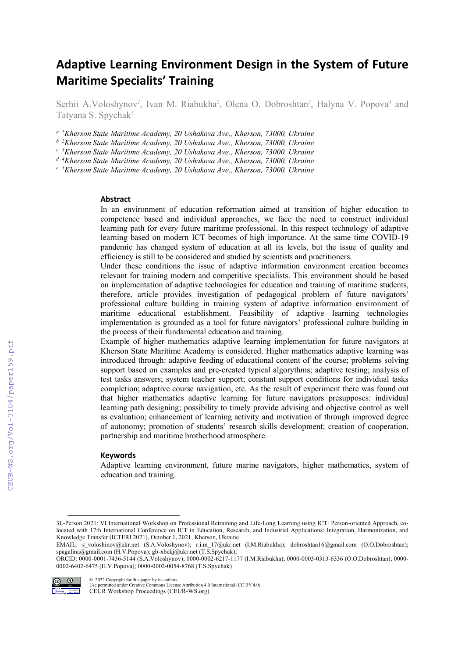# Adaptive Learning Environment Design in the System of Future Maritime Specialits' Training

Serhii A. Voloshynov<sup>*I*</sup>, Ivan M. Riabukha<sup>2</sup>, Olena O. Dobroshtan<sup>3</sup>, Halyna V. Popova<sup>4</sup> and Tatyana S. Spychak*<sup>5</sup>*

*a 1 Kherson State Maritime Academy, 20 Ushakova Ave., Kherson, 73000, Ukraine* 

*b* <sup>2</sup> *Kherson State Maritime Academy, 20 Ushakova Ave., Kherson, 73000, Ukraine c* <sup>3</sup> *Kherson State Maritime Academy, 20 Ushakova Ave. Kherson, 73000, Ukraine* 

*Kherson State Maritime Academy, 20 Ushakova Ave., Kherson, 73000, Ukraine* 

<sup>d</sup> <sup>4</sup> Kherson State Maritime Academy, 20 Ushakova Ave., Kherson, 73000, Ukraine<br><sup>e 5</sup> Kherson State Maritime Academy, 20 Ushakova Ave., Kherson, 73000, Ukraine

<sup>e</sup> <sup>5</sup>Kherson State Maritime Academy, 20 Ushakova Ave., Kherson, 73000, Ukraine

#### Abstract

In an environment of education reformation aimed at transition of higher education to competence based and individual approaches, we face the need to construct individual learning path for every future maritime professional. In this respect technology of adaptive learning based on modern ICT becomes of high importance. At the same time COVID-19 pandemic has changed system of education at all its levels, but the issue of quality and efficiency is still to be considered and studied by scientists and practitioners.

Under these conditions the issue of adaptive information environment creation becomes relevant for training modern and competitive specialists. This environment should be based on implementation of adaptive technologies for education and training of maritime students, therefore, article provides investigation of pedagogical problem of future navigators' professional culture building in training system of adaptive information environment of maritime educational establishment. Feasibility of adaptive learning technologies implementation is grounded as a tool for future navigators' professional culture building in the process of their fundamental education and training.

Example of higher mathematics adaptive learning implementation for future navigators at Kherson State Maritime Academy is considered. Higher mathematics adaptive learning was introduced through: adaptive feeding of educational content of the course; problems solving support based on examples and pre-created typical algorythms; adaptive testing; analysis of test tasks answers; system teacher support; constant support conditions for individual tasks completion; adaptive course navigation, etc. As the result of experiment there was found out that higher mathematics adaptive learning for future navigators presupposes: individual learning path designing; possibility to timely provide advising and objective control as well as evaluation; enhancement of learning activity and motivation of through improved degree of autonomy; promotion of students' research skills development; creation of cooperation, partnership and maritime brotherhood atmosphere.

#### **Keywords**

Adaptive learning environment, future marine navigators, higher mathematics, system of education and training.

ORCID: 0000-0001-7436-5144 (S.A.Voloshynov); 0000-0002-6217-1177 (I.M.Riabukha); 0000-0003-0313-6336 (O.O.Dobroshtan); 0000- 0002-6402-6475 (H.V.Popova); 0000-0002-0054-8768 (T.S.Spychak)



© 2022 Copyright for this paper by its authors.

Use permitted under Creative Commons License Attribution 4.0 International (CC BY 4.0). CEUR Workshop Proceedings (CEUR-WS.org)

<sup>3</sup>L-Person 2021: VI International Workshop on Professional Retraining and Life-Long Learning using ICT: Person-oriented Approach, colocated with 17th International Conference on ICT in Education, Research, and Industrial Applications: Integration, Harmonization, and Knowledge Transfer (ICTERI 2021), October 1, 2021, Kherson, Ukraine

EMAIL: s\_voloshinov@ukr.net (S.A.Voloshynov); r.i.m\_17@ukr.net (I.M.Riabukha); dobroshtan16@gmail.com (O.O.Dobroshtan); spagalina@gmail.com (H.V.Popova); gb-xbckj@ukr.net (T.S.Spychak);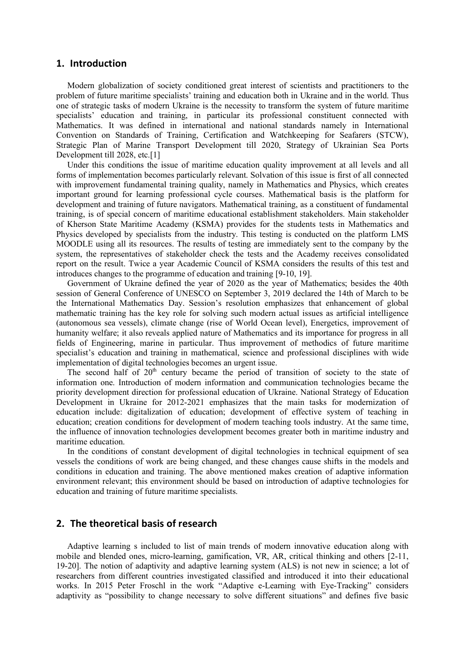### 1. Introduction

Modern globalization of society conditioned great interest of scientists and practitioners to the problem of future maritime specialists' training and education both in Ukraine and in the world. Thus one of strategic tasks of modern Ukraine is the necessity to transform the system of future maritime specialists' education and training, in particular its professional constituent connected with Mathematics. It was defined in international and national standards namely in International Convention on Standards of Training, Certification and Watchkeeping for Seafarers (STCW), Strategic Plan of Marine Transport Development till 2020, Strategy of Ukrainian Sea Ports Development till 2028, etc.[1]

Under this conditions the issue of maritime education quality improvement at all levels and all forms of implementation becomes particularly relevant. Solvation of this issue is first of all connected with improvement fundamental training quality, namely in Mathematics and Physics, which creates important ground for learning professional cycle courses. Mathematical basis is the platform for development and training of future navigators. Mathematical training, as a constituent of fundamental training, is of special concern of maritime educational establishment stakeholders. Main stakeholder of Kherson State Maritime Academy (KSMA) provides for the students tests in Mathematics and Physics developed by specialists from the industry. This testing is conducted on the platform LMS MOODLE using all its resources. The results of testing are immediately sent to the company by the system, the representatives of stakeholder check the tests and the Academy receives consolidated report on the result. Twice a year Academic Council of KSMA considers the results of this test and introduces changes to the programme of education and training [9-10, 19].

Government of Ukraine defined the year of 2020 as the year of Mathematics; besides the 40th session of General Conference of UNESCO on September 3, 2019 declared the 14th of March to be the International Mathematics Day. Session's resolution emphasizes that enhancement of global mathematic training has the key role for solving such modern actual issues as artificial intelligence (autonomous sea vessels), climate change (rise of World Ocean level), Energetics, improvement of humanity welfare; it also reveals applied nature of Mathematics and its importance for progress in all fields of Engineering, marine in particular. Thus improvement of methodics of future maritime specialist's education and training in mathematical, science and professional disciplines with wide implementation of digital technologies becomes an urgent issue.

The second half of  $20<sup>th</sup>$  century became the period of transition of society to the state of information one. Introduction of modern information and communication technologies became the priority development direction for professional education of Ukraine. National Strategy of Education Development in Ukraine for 2012-2021 emphasizes that the main tasks for modernization of education include: digitalization of education; development of effective system of teaching in education; creation conditions for development of modern teaching tools industry. At the same time, the influence of innovation technologies development becomes greater both in maritime industry and maritime education.

In the conditions of constant development of digital technologies in technical equipment of sea vessels the conditions of work are being changed, and these changes cause shifts in the models and conditions in education and training. The above mentioned makes creation of adaptive information environment relevant; this environment should be based on introduction of adaptive technologies for education and training of future maritime specialists.

# 2. The theoretical basis of research

Adaptive learning s included to list of main trends of modern innovative education along with mobile and blended ones, micro-learning, gamification, VR, AR, critical thinking and others [2-11, 19-20]. The notion of adaptivity and adaptive learning system (ALS) is not new in science; a lot of researchers from different countries investigated classified and introduced it into their educational works. In 2015 Peter Froschl in the work "Adaptive e-Learning with Eye-Tracking" considers adaptivity as "possibility to change necessary to solve different situations" and defines five basic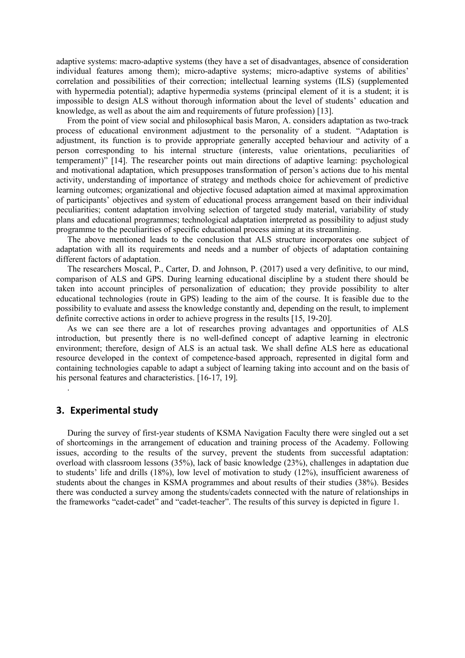adaptive systems: macro-adaptive systems (they have a set of disadvantages, absence of consideration individual features among them); micro-adaptive systems; micro-adaptive systems of abilities' correlation and possibilities of their correction; intellectual learning systems (ILS) (supplemented with hypermedia potential); adaptive hypermedia systems (principal element of it is a student; it is impossible to design ALS without thorough information about the level of students' education and knowledge, as well as about the aim and requirements of future profession) [13].

From the point of view social and philosophical basis Maron, A. considers adaptation as two-track process of educational environment adjustment to the personality of a student. "Adaptation is adjustment, its function is to provide appropriate generally accepted behaviour and activity of a person corresponding to his internal structure (interests, value orientations, peculiarities of temperament)" [14]. The researcher points out main directions of adaptive learning: psychological and motivational adaptation, which presupposes transformation of person's actions due to his mental activity, understanding of importance of strategy and methods choice for achievement of predictive learning outcomes; organizational and objective focused adaptation aimed at maximal approximation of participants' objectives and system of educational process arrangement based on their individual peculiarities; content adaptation involving selection of targeted study material, variability of study plans and educational programmes; technological adaptation interpreted as possibility to adjust study programme to the peculiarities of specific educational process aiming at its streamlining.

The above mentioned leads to the conclusion that ALS structure incorporates one subject of adaptation with all its requirements and needs and a number of objects of adaptation containing different factors of adaptation.

The researchers Moscal, P., Carter, D. and Johnson, P. (2017) used a very definitive, to our mind, comparison of ALS and GPS. During learning educational discipline by a student there should be taken into account principles of personalization of education; they provide possibility to alter educational technologies (route in GPS) leading to the aim of the course. It is feasible due to the possibility to evaluate and assess the knowledge constantly and, depending on the result, to implement definite corrective actions in order to achieve progress in the results [15, 19-20].

As we can see there are a lot of researches proving advantages and opportunities of ALS introduction, but presently there is no well-defined concept of adaptive learning in electronic environment; therefore, design of ALS is an actual task. We shall define ALS here as educational resource developed in the context of competence-based approach, represented in digital form and containing technologies capable to adapt a subject of learning taking into account and on the basis of his personal features and characteristics. [16-17, 19].

## 3. Experimental study

.

During the survey of first-year students of KSMA Navigation Faculty there were singled out a set of shortcomings in the arrangement of education and training process of the Academy. Following issues, according to the results of the survey, prevent the students from successful adaptation: overload with classroom lessons (35%), lack of basic knowledge (23%), challenges in adaptation due to students' life and drills (18%), low level of motivation to study (12%), insufficient awareness of students about the changes in KSMA programmes and about results of their studies (38%). Besides there was conducted a survey among the students/cadets connected with the nature of relationships in the frameworks "cadet-cadet" and "cadet-teacher". The results of this survey is depicted in figure 1.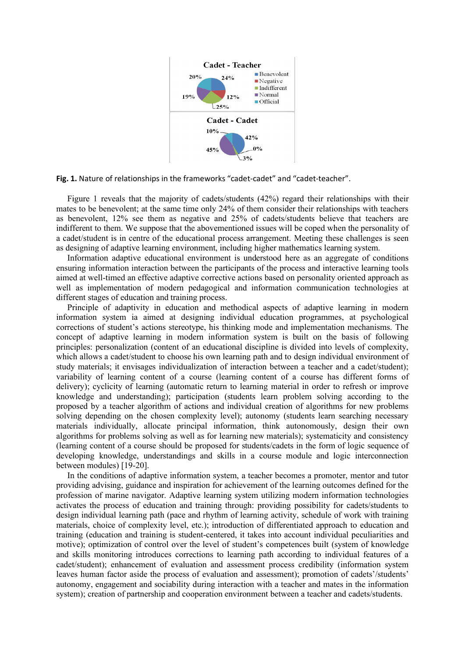

Fig. 1. Nature of relationships in the frameworks "cadet-cadet" and "cadet-teacher".

Figure 1 reveals that the majority of cadets/students (42%) regard their relationships with their mates to be benevolent; at the same time only 24% of them consider their relationships with teachers as benevolent, 12% see them as negative and 25% of cadets/students believe that teachers are indifferent to them. We suppose that the abovementioned issues will be coped when the personality of a cadet/student is in centre of the educational process arrangement. Meeting these challenges is seen as designing of adaptive learning environment, including higher mathematics learning system.

Information adaptive educational environment is understood here as an aggregate of conditions ensuring information interaction between the participants of the process and interactive learning tools aimed at well-timed an effective adaptive corrective actions based on personality oriented approach as well as implementation of modern pedagogical and information communication technologies at different stages of education and training process.

Principle of adaptivity in education and methodical aspects of adaptive learning in modern information system ia aimed at designing individual education programmes, at psychological corrections of student's actions stereotype, his thinking mode and implementation mechanisms. The concept of adaptive learning in modern information system is built on the basis of following principles: personalization (content of an educational discipline is divided into levels of complexity, which allows a cadet/student to choose his own learning path and to design individual environment of study materials; it envisages individualization of interaction between a teacher and a cadet/student); variability of learning content of a course (learning content of a course has different forms of delivery); cyclicity of learning (automatic return to learning material in order to refresh or improve knowledge and understanding); participation (students learn problem solving according to the proposed by a teacher algorithm of actions and individual creation of algorithms for new problems solving depending on the chosen complexity level); autonomy (students learn searching necessary materials individually, allocate principal information, think autonomously, design their own algorithms for problems solving as well as for learning new materials); systematicity and consistency (learning content of a course should be proposed for students/cadets in the form of logic sequence of developing knowledge, understandings and skills in a course module and logic interconnection between modules) [19-20].

In the conditions of adaptive information system, a teacher becomes a promoter, mentor and tutor providing advising, guidance and inspiration for achievement of the learning outcomes defined for the profession of marine navigator. Adaptive learning system utilizing modern information technologies activates the process of education and training through: providing possibility for cadets/students to design individual learning path (pace and rhythm of learning activity, schedule of work with training materials, choice of complexity level, etc.); introduction of differentiated approach to education and training (education and training is student-centered, it takes into account individual peculiarities and motive); optimization of control over the level of student's competences built (system of knowledge and skills monitoring introduces corrections to learning path according to individual features of a cadet/student); enhancement of evaluation and assessment process credibility (information system leaves human factor aside the process of evaluation and assessment); promotion of cadets'/students' autonomy, engagement and sociability during interaction with a teacher and mates in the information system); creation of partnership and cooperation environment between a teacher and cadets/students.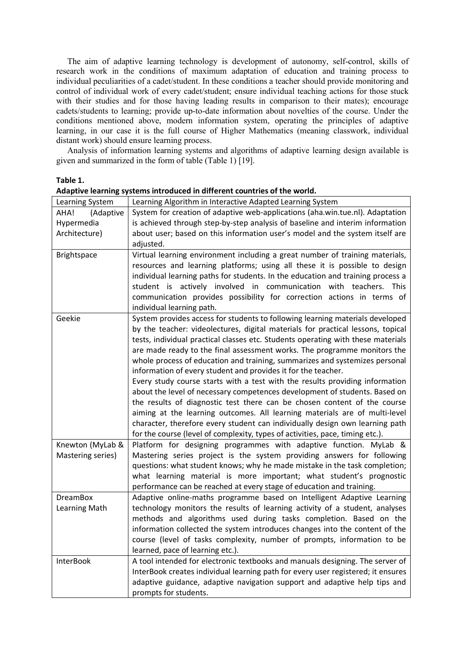The aim of adaptive learning technology is development of autonomy, self-control, skills of research work in the conditions of maximum adaptation of education and training process to individual peculiarities of a cadet/student. In these conditions a teacher should provide monitoring and control of individual work of every cadet/student; ensure individual teaching actions for those stuck with their studies and for those having leading results in comparison to their mates); encourage cadets/students to learning; provide up-to-date information about novelties of the course. Under the conditions mentioned above, modern information system, operating the principles of adaptive learning, in our case it is the full course of Higher Mathematics (meaning classwork, individual distant work) should ensure learning process.

Analysis of information learning systems and algorithms of adaptive learning design available is given and summarized in the form of table (Table 1) [19].

### Table 1.

| Learning System   | Learning Algorithm in Interactive Adapted Learning System                        |
|-------------------|----------------------------------------------------------------------------------|
| AHA!<br>(Adaptive | System for creation of adaptive web-applications (aha.win.tue.nl). Adaptation    |
| Hypermedia        | is achieved through step-by-step analysis of baseline and interim information    |
| Architecture)     | about user; based on this information user's model and the system itself are     |
|                   | adjusted.                                                                        |
| Brightspace       | Virtual learning environment including a great number of training materials,     |
|                   | resources and learning platforms; using all these it is possible to design       |
|                   | individual learning paths for students. In the education and training process a  |
|                   | student is actively involved in communication with teachers.<br><b>This</b>      |
|                   | communication provides possibility for correction actions in terms of            |
|                   | individual learning path.                                                        |
| Geekie            | System provides access for students to following learning materials developed    |
|                   | by the teacher: videolectures, digital materials for practical lessons, topical  |
|                   | tests, individual practical classes etc. Students operating with these materials |
|                   | are made ready to the final assessment works. The programme monitors the         |
|                   | whole process of education and training, summarizes and systemizes personal      |
|                   | information of every student and provides it for the teacher.                    |
|                   | Every study course starts with a test with the results providing information     |
|                   | about the level of necessary competences development of students. Based on       |
|                   | the results of diagnostic test there can be chosen content of the course         |
|                   | aiming at the learning outcomes. All learning materials are of multi-level       |
|                   | character, therefore every student can individually design own learning path     |
|                   | for the course (level of complexity, types of activities, pace, timing etc.).    |
| Knewton (MyLab &  | Platform for designing programmes with adaptive function. MyLab &                |
| Mastering series) | Mastering series project is the system providing answers for following           |
|                   | questions: what student knows; why he made mistake in the task completion;       |
|                   | what learning material is more important; what student's prognostic              |
|                   | performance can be reached at every stage of education and training.             |
| <b>DreamBox</b>   | Adaptive online-maths programme based on Intelligent Adaptive Learning           |
| Learning Math     | technology monitors the results of learning activity of a student, analyses      |
|                   | methods and algorithms used during tasks completion. Based on the                |
|                   | information collected the system introduces changes into the content of the      |
|                   | course (level of tasks complexity, number of prompts, information to be          |
|                   | learned, pace of learning etc.).                                                 |
| <b>InterBook</b>  | A tool intended for electronic textbooks and manuals designing. The server of    |
|                   | InterBook creates individual learning path for every user registered; it ensures |
|                   | adaptive guidance, adaptive navigation support and adaptive help tips and        |
|                   | prompts for students.                                                            |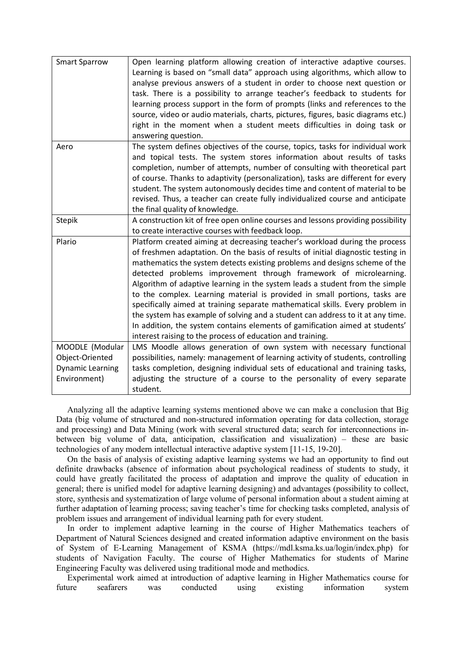| <b>Smart Sparrow</b>                                                          | Open learning platform allowing creation of interactive adaptive courses.<br>Learning is based on "small data" approach using algorithms, which allow to<br>analyse previous answers of a student in order to choose next question or<br>task. There is a possibility to arrange teacher's feedback to students for<br>learning process support in the form of prompts (links and references to the<br>source, video or audio materials, charts, pictures, figures, basic diagrams etc.)<br>right in the moment when a student meets difficulties in doing task or<br>answering question.                                                                                                                                                                                                         |
|-------------------------------------------------------------------------------|---------------------------------------------------------------------------------------------------------------------------------------------------------------------------------------------------------------------------------------------------------------------------------------------------------------------------------------------------------------------------------------------------------------------------------------------------------------------------------------------------------------------------------------------------------------------------------------------------------------------------------------------------------------------------------------------------------------------------------------------------------------------------------------------------|
| Aero                                                                          | The system defines objectives of the course, topics, tasks for individual work<br>and topical tests. The system stores information about results of tasks<br>completion, number of attempts, number of consulting with theoretical part<br>of course. Thanks to adaptivity (personalization), tasks are different for every<br>student. The system autonomously decides time and content of material to be<br>revised. Thus, a teacher can create fully individualized course and anticipate<br>the final quality of knowledge.                                                                                                                                                                                                                                                                   |
| <b>Stepik</b>                                                                 | A construction kit of free open online courses and lessons providing possibility<br>to create interactive courses with feedback loop.                                                                                                                                                                                                                                                                                                                                                                                                                                                                                                                                                                                                                                                             |
| Plario                                                                        | Platform created aiming at decreasing teacher's workload during the process<br>of freshmen adaptation. On the basis of results of initial diagnostic testing in<br>mathematics the system detects existing problems and designs scheme of the<br>detected problems improvement through framework of microlearning.<br>Algorithm of adaptive learning in the system leads a student from the simple<br>to the complex. Learning material is provided in small portions, tasks are<br>specifically aimed at training separate mathematical skills. Every problem in<br>the system has example of solving and a student can address to it at any time.<br>In addition, the system contains elements of gamification aimed at students'<br>interest raising to the process of education and training. |
| MOODLE (Modular<br>Object-Oriented<br><b>Dynamic Learning</b><br>Environment) | LMS Moodle allows generation of own system with necessary functional<br>possibilities, namely: management of learning activity of students, controlling<br>tasks completion, designing individual sets of educational and training tasks,<br>adjusting the structure of a course to the personality of every separate                                                                                                                                                                                                                                                                                                                                                                                                                                                                             |
|                                                                               | student.                                                                                                                                                                                                                                                                                                                                                                                                                                                                                                                                                                                                                                                                                                                                                                                          |

Analyzing all the adaptive learning systems mentioned above we can make a conclusion that Big Data (big volume of structured and non-structured information operating for data collection, storage and processing) and Data Mining (work with several structured data; search for interconnections inbetween big volume of data, anticipation, classification and visualization) – these are basic technologies of any modern intellectual interactive adaptive system [11-15, 19-20].

On the basis of analysis of existing adaptive learning systems we had an opportunity to find out definite drawbacks (absence of information about psychological readiness of students to study, it could have greatly facilitated the process of adaptation and improve the quality of education in general; there is unified model for adaptive learning designing) and advantages (possibility to collect, store, synthesis and systematization of large volume of personal information about a student aiming at further adaptation of learning process; saving teacher's time for checking tasks completed, analysis of problem issues and arrangement of individual learning path for every student.

In order to implement adaptive learning in the course of Higher Mathematics teachers of Department of Natural Sciences designed and created information adaptive environment on the basis of System of E-Learning Management of KSMA (https://mdl.ksma.ks.ua/login/index.php) for students of Navigation Faculty. The course of Higher Mathematics for students of Marine Engineering Faculty was delivered using traditional mode and methodics.

Experimental work aimed at introduction of adaptive learning in Higher Mathematics course for future seafarers was conducted using existing information system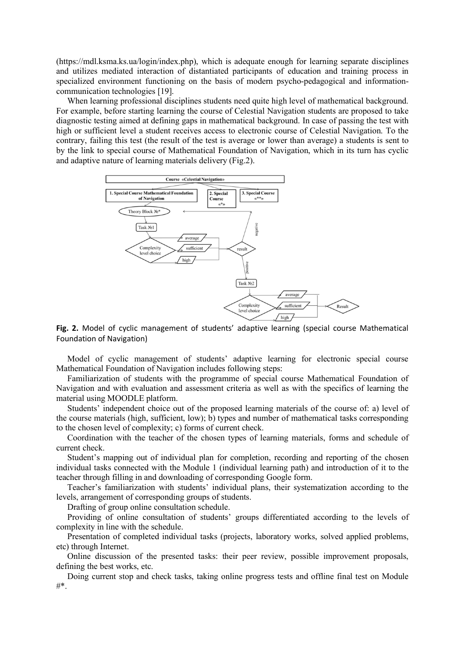(https://mdl.ksma.ks.ua/login/index.php), which is adequate enough for learning separate disciplines and utilizes mediated interaction of distantiated participants of education and training process in specialized environment functioning on the basis of modern psycho-pedagogical and informationcommunication technologies [19].

When learning professional disciplines students need quite high level of mathematical background. For example, before starting learning the course of Celestial Navigation students are proposed to take diagnostic testing aimed at defining gaps in mathematical background. In case of passing the test with high or sufficient level a student receives access to electronic course of Celestial Navigation. To the contrary, failing this test (the result of the test is average or lower than average) a students is sent to by the link to special course of Mathematical Foundation of Navigation, which in its turn has cyclic and adaptive nature of learning materials delivery (Fig.2).



Fig. 2. Model of cyclic management of students' adaptive learning (special course Mathematical Foundation of Navigation)

Model of cyclic management of students' adaptive learning for electronic special course Mathematical Foundation of Navigation includes following steps:

Familiarization of students with the programme of special course Mathematical Foundation of Navigation and with evaluation and assessment criteria as well as with the specifics of learning the material using MOODLE platform.

Students' independent choice out of the proposed learning materials of the course of: a) level of the course materials (high, sufficient, low); b) types and number of mathematical tasks corresponding to the chosen level of complexity; c) forms of current check.

Coordination with the teacher of the chosen types of learning materials, forms and schedule of current check.

Student's mapping out of individual plan for completion, recording and reporting of the chosen individual tasks connected with the Module 1 (individual learning path) and introduction of it to the teacher through filling in and downloading of corresponding Google form.

Teacher's familiarization with students' individual plans, their systematization according to the levels, arrangement of corresponding groups of students.

Drafting of group online consultation schedule.

Providing of online consultation of students' groups differentiated according to the levels of complexity in line with the schedule.

Presentation of completed individual tasks (projects, laboratory works, solved applied problems, etc) through Internet.

Online discussion of the presented tasks: their peer review, possible improvement proposals, defining the best works, etc.

Doing current stop and check tasks, taking online progress tests and offline final test on Module #\*.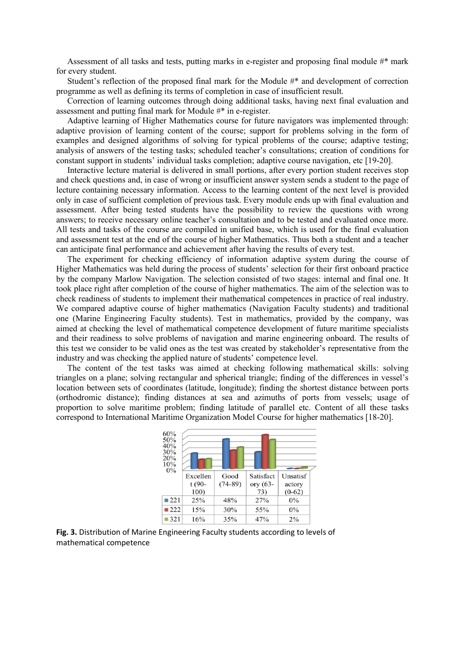Assessment of all tasks and tests, putting marks in e-register and proposing final module  $#$ \* mark for every student.

Student's reflection of the proposed final mark for the Module  $\#^*$  and development of correction programme as well as defining its terms of completion in case of insufficient result.

Correction of learning outcomes through doing additional tasks, having next final evaluation and assessment and putting final mark for Module #\* in e-register.

Adaptive learning of Higher Mathematics course for future navigators was implemented through: adaptive provision of learning content of the course; support for problems solving in the form of examples and designed algorithms of solving for typical problems of the course; adaptive testing; analysis of answers of the testing tasks; scheduled teacher's consultations; creation of conditions for constant support in students' individual tasks completion; adaptive course navigation, etc [19-20].

Interactive lecture material is delivered in small portions, after every portion student receives stop and check questions and, in case of wrong or insufficient answer system sends a student to the page of lecture containing necessary information. Access to the learning content of the next level is provided only in case of sufficient completion of previous task. Every module ends up with final evaluation and assessment. After being tested students have the possibility to review the questions with wrong answers; to receive necessary online teacher's consultation and to be tested and evaluated once more. All tests and tasks of the course are compiled in unified base, which is used for the final evaluation and assessment test at the end of the course of higher Mathematics. Thus both a student and a teacher can anticipate final performance and achievement after having the results of every test.

The experiment for checking efficiency of information adaptive system during the course of Higher Mathematics was held during the process of students' selection for their first onboard practice by the company Marlow Navigation. The selection consisted of two stages: internal and final one. It took place right after completion of the course of higher mathematics. The aim of the selection was to check readiness of students to implement their mathematical competences in practice of real industry. We compared adaptive course of higher mathematics (Navigation Faculty students) and traditional one (Marine Engineering Faculty students). Test in mathematics, provided by the company, was aimed at checking the level of mathematical competence development of future maritime specialists and their readiness to solve problems of navigation and marine engineering onboard. The results of this test we consider to be valid ones as the test was created by stakeholder's representative from the industry and was checking the applied nature of students' competence level.

The content of the test tasks was aimed at checking following mathematical skills: solving triangles on a plane; solving rectangular and spherical triangle; finding of the differences in vessel's location between sets of coordinates (latitude, longitude); finding the shortest distance between ports (orthodromic distance); finding distances at sea and azimuths of ports from vessels; usage of proportion to solve maritime problem; finding latitude of parallel etc. Content of all these tasks correspond to International Maritime Organization Model Course for higher mathematics [18-20].



Fig. 3. Distribution of Marine Engineering Faculty students according to levels of mathematical competence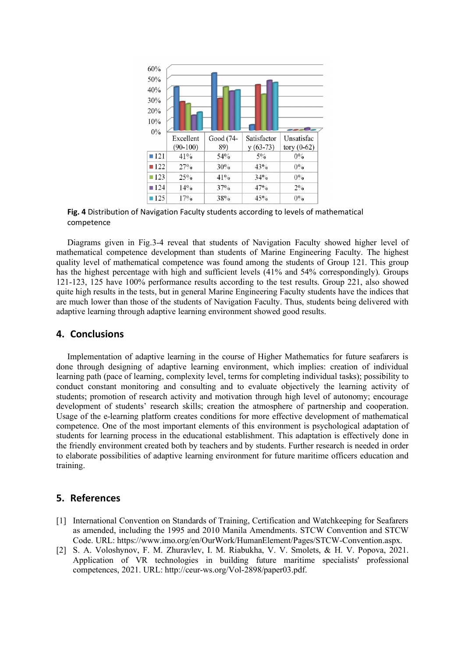

Fig. 4 Distribution of Navigation Faculty students according to levels of mathematical competence

Diagrams given in Fig.3-4 reveal that students of Navigation Faculty showed higher level of mathematical competence development than students of Marine Engineering Faculty. The highest quality level of mathematical competence was found among the students of Group 121. This group has the highest percentage with high and sufficient levels (41% and 54% correspondingly). Groups 121-123, 125 have 100% performance results according to the test results. Group 221, also showed quite high results in the tests, but in general Marine Engineering Faculty students have the indices that are much lower than those of the students of Navigation Faculty. Thus, students being delivered with adaptive learning through adaptive learning environment showed good results.

# 4. Conclusions

Implementation of adaptive learning in the course of Higher Mathematics for future seafarers is done through designing of adaptive learning environment, which implies: creation of individual learning path (pace of learning, complexity level, terms for completing individual tasks); possibility to conduct constant monitoring and consulting and to evaluate objectively the learning activity of students; promotion of research activity and motivation through high level of autonomy; encourage development of students' research skills; creation the atmosphere of partnership and cooperation. Usage of the e-learning platform creates conditions for more effective development of mathematical competence. One of the most important elements of this environment is psychological adaptation of students for learning process in the educational establishment. This adaptation is effectively done in the friendly environment created both by teachers and by students. Further research is needed in order to elaborate possibilities of adaptive learning environment for future maritime officers education and training.

### 5. References

- [1] International Convention on Standards of Training, Certification and Watchkeeping for Seafarers as amended, including the 1995 and 2010 Manila Amendments. STCW Convention and STCW Code. URL: https://www.imo.org/en/OurWork/HumanElement/Pages/STCW-Convention.aspx.
- [2] S. A. Voloshynov, F. M. Zhuravlev, I. M. Riabukha, V. V. Smolets, & H. V. Popova, 2021. Application of VR technologies in building future maritime specialists' professional competences, 2021. URL: http://ceur-ws.org/Vol-2898/paper03.pdf.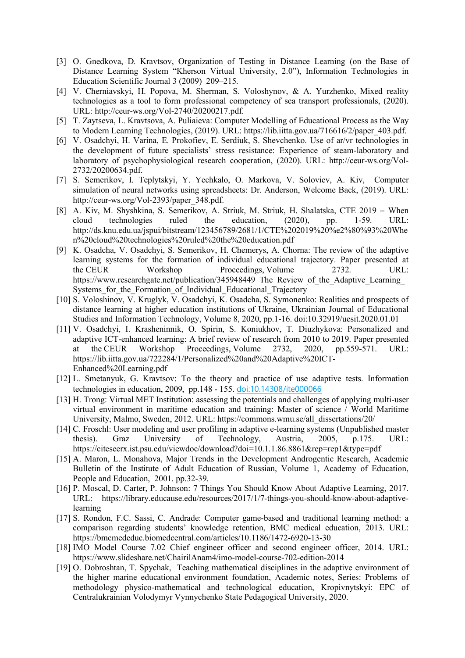- [3] O. Gnedkova, D. Kravtsov, Organization of Testing in Distance Learning (on the Base of Distance Learning System "Kherson Virtual University, 2.0"), Information Technologies in Education Scientific Journal 3 (2009) 209–215.
- [4] V. Cherniavskyi, H. Popova, M. Sherman, S. Voloshynov, & A. Yurzhenko, Mixed reality technologies as a tool to form professional competency of sea transport professionals, (2020). URL: http://ceur-ws.org/Vol-2740/20200217.pdf.
- [5] T. Zaytseva, L. Kravtsova, A. Puliaieva: Computer Modelling of Educational Process as the Way to Modern Learning Technologies, (2019). URL: https://lib.iitta.gov.ua/716616/2/paper\_403.pdf.
- [6] V. Osadchyi, H. Varina, E. Prokofiev, E. Serdiuk, S. Shevchenko. Use of ar/vr technologies in the development of future specialists' stress resistance: Experience of steam-laboratory and laboratory of psychophysiological research cooperation, (2020). URL: http://ceur-ws.org/Vol-2732/20200634.pdf.
- [7] S. Semerikov, I. Teplytskyi, Y. Yechkalo, O. Markova, V. Soloviev, A. Kiv, Computer simulation of neural networks using spreadsheets: Dr. Anderson, Welcome Back, (2019). URL: http://ceur-ws.org/Vol-2393/paper\_348.pdf.
- [8] A. Kiv, M. Shyshkina, S. Semerikov, A. Striuk, M. Striuk, H. Shalatska, CTE 2019 When cloud technologies ruled the education, (2020), pp. 1-59. URL: http://ds.knu.edu.ua/jspui/bitstream/123456789/2681/1/CTE%202019%20%e2%80%93%20Whe n%20cloud%20technologies%20ruled%20the%20education.pdf
- [9] K. Osadcha, V. Osadchyi, S. Semerikov, H. Chemerys, A. Chorna: The review of the adaptive learning systems for the formation of individual educational trajectory. Paper presented at the CEUR Workshop Proceedings, Volume 2732. URL: https://www.researchgate.net/publication/345948449 The Review of the Adaptive Learning Systems\_for\_the\_Formation\_of\_Individual\_Educational\_Trajectory
- [10] S. Voloshinov, V. Kruglyk, V. Osadchyi, K. Osadcha, S. Symonenko: Realities and prospects of distance learning at higher education institutions of Ukraine, Ukrainian Journal of Educational Studies and Information Technology, Volume 8, 2020, pp.1-16. doi:10.32919/uesit.2020.01.01
- [11] V. Osadchyi, I. Krasheninnik, O. Spirin, S. Koniukhov, T. Diuzhykova: Personalized and adaptive ICT-enhanced learning: A brief review of research from 2010 to 2019. Paper presented<br>at the CEUR Workshop Proceedings, Volume 2732, 2020, pp.559-571. URL: at the CEUR Workshop Proceedings, Volume 2732, 2020, pp.559-571. URL: https://lib.iitta.gov.ua/722284/1/Personalized%20and%20Adaptive%20ICT-Enhanced%20Learning.pdf
- [12] L. Smetanyuk, G. Kravtsov: To the theory and practice of use adaptive tests. Information technologies in education, 2009, pp.148 - 155. doi:10.14308/ite000066
- [13] H. Trong: Virtual MET Institution: assessing the potentials and challenges of applying multi-user virtual environment in maritime education and training: Master of science / World Maritime University, Malmo, Sweden, 2012. URL: https://commons.wmu.se/all\_dissertations/20/
- [14] C. Froschl: User modeling and user profiling in adaptive e-learning systems (Unpublished master thesis). Graz University of Technology, Austria, 2005, p.175. URL: https://citeseerx.ist.psu.edu/viewdoc/download?doi=10.1.1.86.8861&rep=rep1&type=pdf
- [15] A. Maron, L. Monahova, Major Trends in the Development Androgentic Research, Academic Bulletin of the Institute of Adult Education of Russian, Volume 1, Academy of Education, People and Education, 2001. pp.32-39.
- [16] P. Moscal, D. Carter, P. Johnson: 7 Things You Should Know About Adaptive Learning, 2017. URL: https://library.educause.edu/resources/2017/1/7-things-you-should-know-about-adaptivelearning
- [17] S. Rondon, F.C. Sassi, C. Andrade: Computer game-based and traditional learning method: a comparison regarding students' knowledge retention, BMC medical education, 2013. URL: https://bmcmededuc.biomedcentral.com/articles/10.1186/1472-6920-13-30
- [18] IMO Model Course 7.02 Chief engineer officer and second engineer officer, 2014. URL: https://www.slideshare.net/ChairilAnam4/imo-model-course-702-edition-2014
- [19] O. Dobroshtan, T. Spychak, Teaching mathematical disciplines in the adaptive environment of the higher marine educational environment foundation, Academic notes, Series: Problems of methodology physico-mathematical and technological education, Kropivnytskyi: EPC of Centralukrainian Volodymyr Vynnychenko State Pedagogical University, 2020.